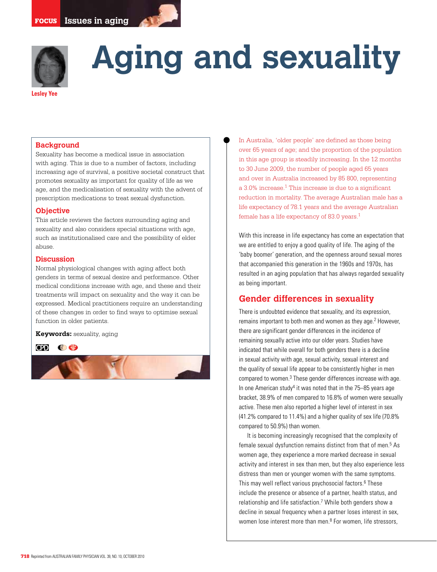

# **Aging and sexuality**

#### **Lesley Yee**

## **Background**

Sexuality has become a medical issue in association with aging. This is due to a number of factors, including increasing age of survival, a positive societal construct that promotes sexuality as important for quality of life as we age, and the medicalisation of sexuality with the advent of prescription medications to treat sexual dysfunction.

#### **Objective**

This article reviews the factors surrounding aging and sexuality and also considers special situations with age, such as institutionalised care and the possibility of elder abuse.

#### **Discussion**

Normal physiological changes with aging affect both genders in terms of sexual desire and performance. Other medical conditions increase with age, and these and their treatments will impact on sexuality and the way it can be expressed. Medical practitioners require an understanding of these changes in order to find ways to optimise sexual function in older patients.

#### **Keywords:** sexuality, aging

**od Ce** 



In Australia, 'older people' are defined as those being over 65 years of age; and the proportion of the population in this age group is steadily increasing. In the 12 months to 30 June 2009, the number of people aged 65 years and over in Australia increased by 85 800, representing a 3.0% increase.1 This increase is due to a significant reduction in mortality. The average Australian male has a life expectancy of 78.1 years and the average Australian female has a life expectancy of 83.0 years.<sup>1</sup>

With this increase in life expectancy has come an expectation that we are entitled to enjoy a good quality of life. The aging of the 'baby boomer' generation, and the openness around sexual mores that accompanied this generation in the 1960s and 1970s, has resulted in an aging population that has always regarded sexuality as being important.

# **Gender differences in sexuality**

There is undoubted evidence that sexuality, and its expression, remains important to both men and women as they age.<sup>2</sup> However, there are significant gender differences in the incidence of remaining sexually active into our older years. Studies have indicated that while overall for both genders there is a decline in sexual activity with age, sexual activity, sexual interest and the quality of sexual life appear to be consistently higher in men compared to women.<sup>3</sup> These gender differences increase with age. In one American study<sup>4</sup> it was noted that in the 75–85 years age bracket, 38.9% of men compared to 16.8% of women were sexually active. These men also reported a higher level of interest in sex (41.2% compared to 11.4%) and a higher quality of sex life (70.8% compared to 50.9%) than women.

 It is becoming increasingly recognised that the complexity of female sexual dysfunction remains distinct from that of men.<sup>5</sup> As women age, they experience a more marked decrease in sexual activity and interest in sex than men, but they also experience less distress than men or younger women with the same symptoms. This may well reflect various psychosocial factors.<sup>6</sup> These include the presence or absence of a partner, health status, and relationship and life satisfaction.<sup>7</sup> While both genders show a decline in sexual frequency when a partner loses interest in sex, women lose interest more than men.<sup>8</sup> For women, life stressors,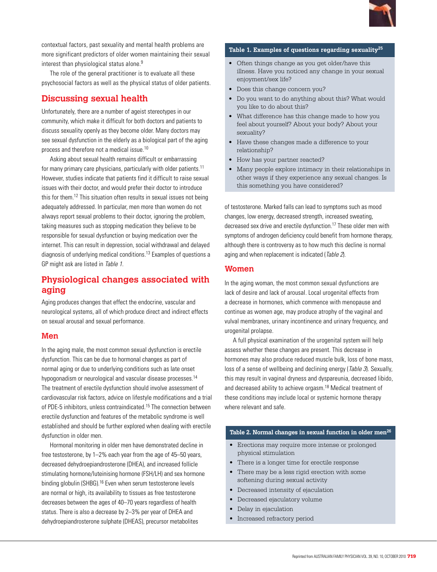

contextual factors, past sexuality and mental health problems are more significant predictors of older women maintaining their sexual interest than physiological status alone.<sup>9</sup>

 The role of the general practitioner is to evaluate all these psychosocial factors as well as the physical status of older patients.

# **Discussing sexual health**

Unfortunately, there are a number of ageist stereotypes in our community, which make it difficult for both doctors and patients to discuss sexuality openly as they become older. Many doctors may see sexual dysfunction in the elderly as a biological part of the aging process and therefore not a medical issue.10

Asking about sexual health remains difficult or embarrassing for many primary care physicians, particularly with older patients.11 However, studies indicate that patients find it difficult to raise sexual issues with their doctor, and would prefer their doctor to introduce this for them.12 This situation often results in sexual issues not being adequately addressed. In particular, men more than women do not always report sexual problems to their doctor, ignoring the problem, taking measures such as stopping medication they believe to be responsible for sexual dysfunction or buying medication over the internet. This can result in depression, social withdrawal and delayed diagnosis of underlying medical conditions.13 Examples of questions a GP might ask are listed in Table 1.

# **Physiological changes associated with aging**

Aging produces changes that effect the endocrine, vascular and neurological systems, all of which produce direct and indirect effects on sexual arousal and sexual performance.

# **Men**

In the aging male, the most common sexual dysfunction is erectile dysfunction. This can be due to hormonal changes as part of normal aging or due to underlying conditions such as late onset hypogonadism or neurological and vascular disease processes.<sup>14</sup> The treatment of erectile dysfunction should involve assessment of cardiovascular risk factors, advice on lifestyle modifications and a trial of PDE-5 inhibitors, unless contraindicated.<sup>15</sup> The connection between erectile dysfunction and features of the metabolic syndrome is well established and should be further explored when dealing with erectile dysfunction in older men.

 Hormonal monitoring in older men have demonstrated decline in free testosterone, by 1–2% each year from the age of 45–50 years, decreased dehydroepiandrosterone (DHEA), and increased follicle stimulating hormone/luteinising hormone (FSH/LH) and sex hormone binding globulin (SHBG).<sup>16</sup> Even when serum testosterone levels are normal or high, its availability to tissues as free testosterone decreases between the ages of 40–70 years regardless of health status. There is also a decrease by 2–3% per year of DHEA and dehydroepiandrosterone sulphate (DHEAS), precursor metabolites

## **Table 1. Examples of questions regarding sexuality25**

- Often things change as you get older/have this illness. Have you noticed any change in your sexual enjoyment/sex life?
- Does this change concern you?
- Do you want to do anything about this? What would you like to do about this?
- What difference has this change made to how you feel about yourself? About your body? About your sexuality?
- Have these changes made a difference to your relationship?
- How has your partner reacted?
- Many people explore intimacy in their relationships in other ways if they experience any sexual changes. Is this something you have considered?

of testosterone. Marked falls can lead to symptoms such as mood changes, low energy, decreased strength, increased sweating, decreased sex drive and erectile dysfunction.17 These older men with symptoms of androgen deficiency could benefit from hormone therapy, although there is controversy as to how much this decline is normal aging and when replacement is indicated (Table 2).

# **Women**

In the aging woman, the most common sexual dysfunctions are lack of desire and lack of arousal. Local urogenital effects from a decrease in hormones, which commence with menopause and continue as women age, may produce atrophy of the vaginal and vulval membranes, urinary incontinence and urinary frequency, and urogenital prolapse.

A full physical examination of the urogenital system will help assess whether these changes are present. This decrease in hormones may also produce reduced muscle bulk, loss of bone mass, loss of a sense of wellbeing and declining energy (*Table 3*). Sexually, this may result in vaginal dryness and dyspareunia, decreased libido, and decreased ability to achieve orgasm.18 Medical treatment of these conditions may include local or systemic hormone therapy where relevant and safe.

#### Table 2. Normal changes in sexual function in older men<sup>26</sup>

- • Erections may require more intense or prolonged physical stimulation
- There is a longer time for erectile response
- There may be a less rigid erection with some softening during sexual activity
- • Decreased intensity of ejaculation
- • Decreased ejaculatory volume
- Delay in ejaculation
- Increased refractory period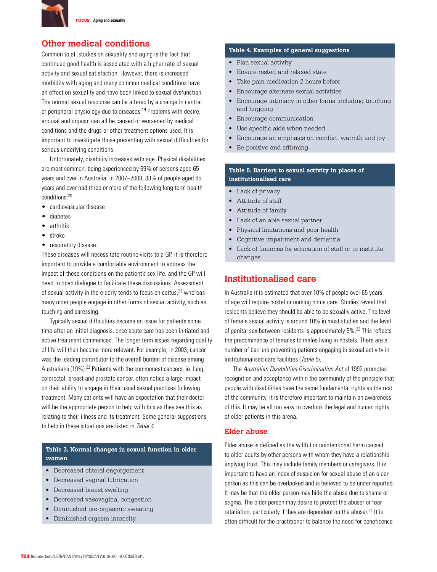

# **Other medical conditions**

Common to all studies on sexuality and aging is the fact that continued good health is associated with a higher rate of sexual activity and sexual satisfaction. However, there is increased morbidity with aging and many common medical conditions have an effect on sexuality and have been linked to sexual dysfunction. The normal sexual response can be altered by a change in central or peripheral physiology due to diseases.19 Problems with desire, arousal and orgasm can all be caused or worsened by medical conditions and the drugs or other treatment options used. It is important to investigate those presenting with sexual difficulties for serious underlying conditions.

 Unfortunately, disability increases with age. Physical disabilities are most common, being experienced by 69% of persons aged 65 years and over in Australia. In 2007–2008, 83% of people aged 65 years and over had three or more of the following long term health conditions:20

- • cardiovascular disease
- • diabetes
- arthritis
- • stroke
- respiratory disease.

These diseases will necessitate routine visits to a GP. It is therefore important to provide a comfortable environment to address the impact of these conditions on the patient's sex life, and the GP will need to open dialogue to facilitate these discussions. Assessment of sexual activity in the elderly tends to focus on coitus, $21$  whereas many older people engage in other forms of sexual activity, such as touching and caressing.

 Typically sexual difficulties become an issue for patients some time after an initial diagnosis, once acute care has been initiated and active treatment commenced. The longer term issues regarding quality of life will then become more relevant. For example, in 2003, cancer was the leading contributor to the overall burden of disease among Australians (19%).<sup>22</sup> Patients with the commonest cancers, ie. lung, colorectal, breast and prostate cancer, often notice a large impact on their ability to engage in their usual sexual practices following treatment. Many patients will have an expectation that their doctor will be the appropriate person to help with this as they see this as relating to their illness and its treatment. Some general suggestions to help in these situations are listed in Table 4.

# **Table 3. Normal changes in sexual function in older women**

- • Decreased clitoral engorgement
- • Decreased vaginal lubrication
- Decreased breast swelling
- Decreased vasovaginal congestion
- • Diminished pre-orgasmic sweating
- Diminished orgasm intensity

#### **Table 4. Examples of general suggestions**

- Plan sexual activity
- • Ensure rested and relaxed state
- Take pain medication 2 hours before
- • Encourage alternate sexual activities
- Encourage intimacy in other forms including touching and hugging
- • Encourage communication
- Use specific aids when needed
- Encourage an emphasis on comfort, warmth and joy
- • Be positive and affirming

## **Table 5. Barriers to sexual activity in places of institutionalised care**

- Lack of privacy
- • Attitude of staff
- • Attitude of family
- • Lack of an able sexual partner
- • Physical limitations and poor health
- • Cognitive impairment and dementia
- Lack of finances for education of staff or to institute changes

# **Institutionalised care**

In Australia it is estimated that over 10% of people over 65 years of age will require hostel or nursing home care. Studies reveal that residents believe they should be able to be sexually active. The level of female sexual activity is around 10% in most studies and the level of genital sex between residents is approximately 5%.23 This reflects the predominance of females to males living in hostels. There are a number of barriers preventing patients engaging in sexual activity in institutionalised care facilities (Table 5).

 The Australian Disabilities Discrimination Act of 1992 promotes recognition and acceptance within the community of the principle that people with disabilities have the same fundamental rights as the rest of the community. It is therefore important to maintain an awareness of this. It may be all too easy to overlook the legal and human rights of older patients in this arena.

# **Elder abuse**

Elder abuse is defined as the willful or unintentional harm caused to older adults by other persons with whom they have a relationship implying trust. This may include family members or caregivers. It is important to have an index of suspicion for sexual abuse of an older person as this can be overlooked and is believed to be under reported. It may be that the older person may hide the abuse due to shame or stigma. The older person may desire to protect the abuser or fear retaliation, particularly if they are dependent on the abuser.<sup>24</sup> It is often difficult for the practitioner to balance the need for beneficence